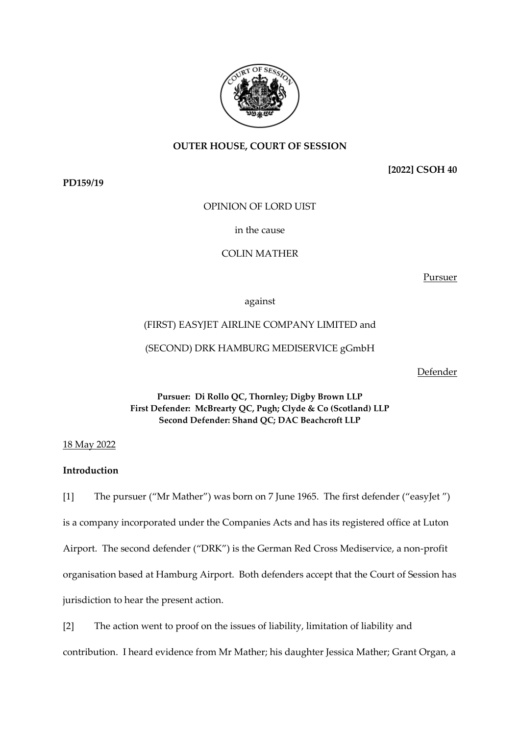

# **OUTER HOUSE, COURT OF SESSION**

**PD159/19**

**[2022] CSOH 40**

OPINION OF LORD UIST

in the cause

COLIN MATHER

Pursuer

against

# (FIRST) EASYJET AIRLINE COMPANY LIMITED and

(SECOND) DRK HAMBURG MEDISERVICE gGmbH

Defender

**Pursuer: Di Rollo QC, Thornley; Digby Brown LLP First Defender: McBrearty QC, Pugh; Clyde & Co (Scotland) LLP Second Defender: Shand QC; DAC Beachcroft LLP**

18 May 2022

## **Introduction**

[1] The pursuer ("Mr Mather") was born on 7 June 1965. The first defender ("easyJet ") is a company incorporated under the Companies Acts and has its registered office at Luton Airport. The second defender ("DRK") is the German Red Cross Mediservice, a non-profit organisation based at Hamburg Airport. Both defenders accept that the Court of Session has jurisdiction to hear the present action.

[2] The action went to proof on the issues of liability, limitation of liability and

contribution. I heard evidence from Mr Mather; his daughter Jessica Mather; Grant Organ, a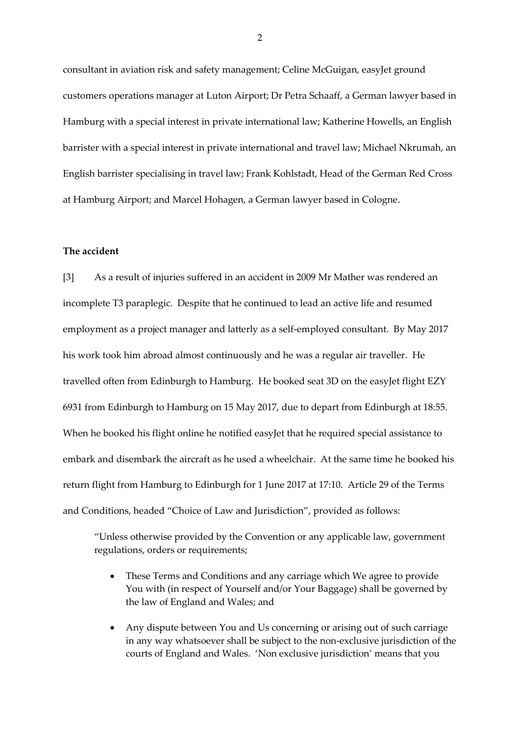consultant in aviation risk and safety management; Celine McGuigan, easyJet ground customers operations manager at Luton Airport; Dr Petra Schaaff, a German lawyer based in Hamburg with a special interest in private international law; Katherine Howells, an English barrister with a special interest in private international and travel law; Michael Nkrumah, an English barrister specialising in travel law; Frank Kohlstadt, Head of the German Red Cross at Hamburg Airport; and Marcel Hohagen, a German lawyer based in Cologne.

### **The accident**

[3] As a result of injuries suffered in an accident in 2009 Mr Mather was rendered an incomplete T3 paraplegic. Despite that he continued to lead an active life and resumed employment as a project manager and latterly as a self-employed consultant. By May 2017 his work took him abroad almost continuously and he was a regular air traveller. He travelled often from Edinburgh to Hamburg. He booked seat 3D on the easyJet flight EZY 6931 from Edinburgh to Hamburg on 15 May 2017, due to depart from Edinburgh at 18:55. When he booked his flight online he notified easyJet that he required special assistance to embark and disembark the aircraft as he used a wheelchair. At the same time he booked his return flight from Hamburg to Edinburgh for 1 June 2017 at 17:10. Article 29 of the Terms and Conditions, headed "Choice of Law and Jurisdiction", provided as follows:

"Unless otherwise provided by the Convention or any applicable law, government regulations, orders or requirements;

- These Terms and Conditions and any carriage which We agree to provide You with (in respect of Yourself and/or Your Baggage) shall be governed by the law of England and Wales; and
- Any dispute between You and Us concerning or arising out of such carriage in any way whatsoever shall be subject to the non-exclusive jurisdiction of the courts of England and Wales. 'Non exclusive jurisdiction' means that you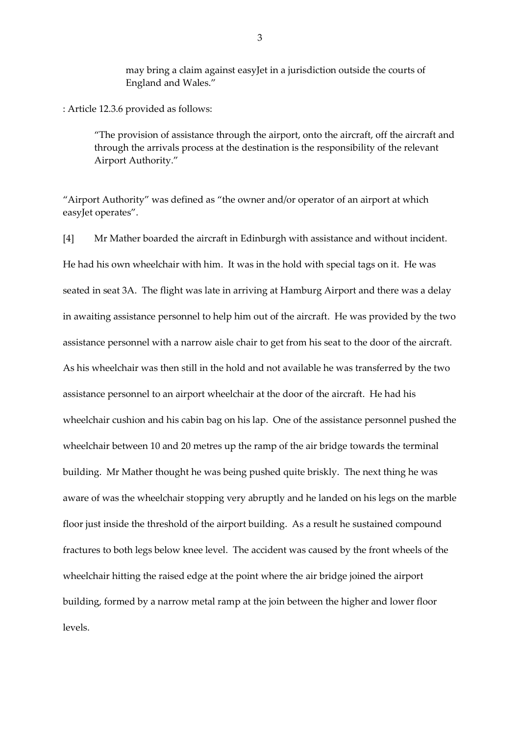may bring a claim against easyJet in a jurisdiction outside the courts of England and Wales."

: Article 12.3.6 provided as follows:

"The provision of assistance through the airport, onto the aircraft, off the aircraft and through the arrivals process at the destination is the responsibility of the relevant Airport Authority."

"Airport Authority" was defined as "the owner and/or operator of an airport at which easyJet operates".

[4] Mr Mather boarded the aircraft in Edinburgh with assistance and without incident. He had his own wheelchair with him. It was in the hold with special tags on it. He was seated in seat 3A. The flight was late in arriving at Hamburg Airport and there was a delay in awaiting assistance personnel to help him out of the aircraft. He was provided by the two assistance personnel with a narrow aisle chair to get from his seat to the door of the aircraft. As his wheelchair was then still in the hold and not available he was transferred by the two assistance personnel to an airport wheelchair at the door of the aircraft. He had his wheelchair cushion and his cabin bag on his lap. One of the assistance personnel pushed the wheelchair between 10 and 20 metres up the ramp of the air bridge towards the terminal building. Mr Mather thought he was being pushed quite briskly. The next thing he was aware of was the wheelchair stopping very abruptly and he landed on his legs on the marble floor just inside the threshold of the airport building. As a result he sustained compound fractures to both legs below knee level. The accident was caused by the front wheels of the wheelchair hitting the raised edge at the point where the air bridge joined the airport building, formed by a narrow metal ramp at the join between the higher and lower floor levels.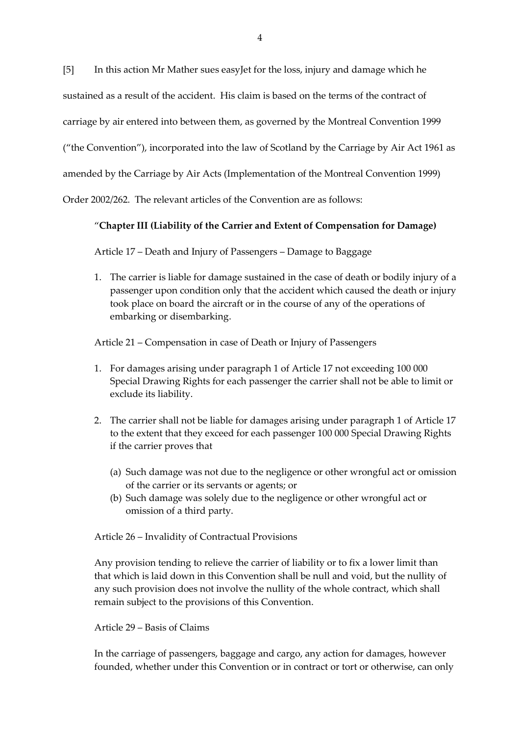[5] In this action Mr Mather sues easyJet for the loss, injury and damage which he

sustained as a result of the accident. His claim is based on the terms of the contract of

carriage by air entered into between them, as governed by the Montreal Convention 1999

("the Convention"), incorporated into the law of Scotland by the Carriage by Air Act 1961 as

amended by the Carriage by Air Acts (Implementation of the Montreal Convention 1999)

Order 2002/262. The relevant articles of the Convention are as follows:

# "**Chapter III (Liability of the Carrier and Extent of Compensation for Damage)**

Article 17 – Death and Injury of Passengers – Damage to Baggage

1. The carrier is liable for damage sustained in the case of death or bodily injury of a passenger upon condition only that the accident which caused the death or injury took place on board the aircraft or in the course of any of the operations of embarking or disembarking.

Article 21 – Compensation in case of Death or Injury of Passengers

- 1. For damages arising under paragraph 1 of Article 17 not exceeding 100 000 Special Drawing Rights for each passenger the carrier shall not be able to limit or exclude its liability.
- 2. The carrier shall not be liable for damages arising under paragraph 1 of Article 17 to the extent that they exceed for each passenger 100 000 Special Drawing Rights if the carrier proves that
	- (a) Such damage was not due to the negligence or other wrongful act or omission of the carrier or its servants or agents; or
	- (b) Such damage was solely due to the negligence or other wrongful act or omission of a third party.

Article 26 – Invalidity of Contractual Provisions

Any provision tending to relieve the carrier of liability or to fix a lower limit than that which is laid down in this Convention shall be null and void, but the nullity of any such provision does not involve the nullity of the whole contract, which shall remain subject to the provisions of this Convention.

### Article 29 – Basis of Claims

In the carriage of passengers, baggage and cargo, any action for damages, however founded, whether under this Convention or in contract or tort or otherwise, can only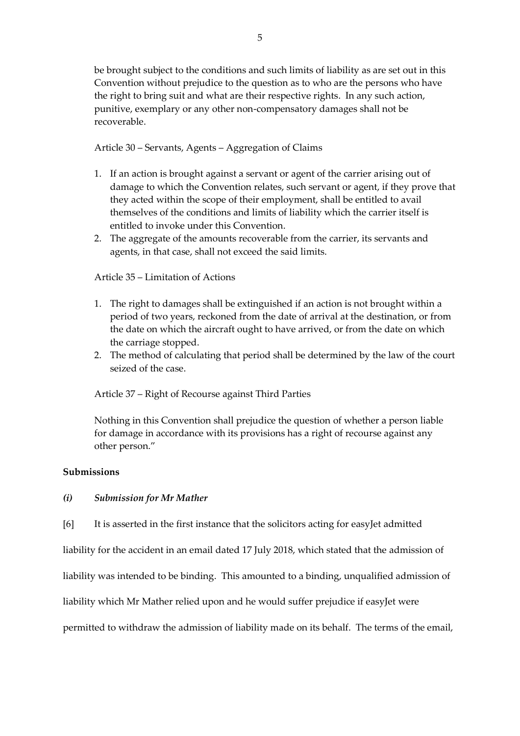be brought subject to the conditions and such limits of liability as are set out in this Convention without prejudice to the question as to who are the persons who have the right to bring suit and what are their respective rights. In any such action, punitive, exemplary or any other non-compensatory damages shall not be recoverable.

Article 30 – Servants, Agents – Aggregation of Claims

- 1. If an action is brought against a servant or agent of the carrier arising out of damage to which the Convention relates, such servant or agent, if they prove that they acted within the scope of their employment, shall be entitled to avail themselves of the conditions and limits of liability which the carrier itself is entitled to invoke under this Convention.
- 2. The aggregate of the amounts recoverable from the carrier, its servants and agents, in that case, shall not exceed the said limits.

Article 35 – Limitation of Actions

- 1. The right to damages shall be extinguished if an action is not brought within a period of two years, reckoned from the date of arrival at the destination, or from the date on which the aircraft ought to have arrived, or from the date on which the carriage stopped.
- 2. The method of calculating that period shall be determined by the law of the court seized of the case.

Article 37 – Right of Recourse against Third Parties

Nothing in this Convention shall prejudice the question of whether a person liable for damage in accordance with its provisions has a right of recourse against any other person."

### **Submissions**

### *(i) Submission for Mr Mather*

[6] It is asserted in the first instance that the solicitors acting for easyJet admitted

liability for the accident in an email dated 17 July 2018, which stated that the admission of

liability was intended to be binding. This amounted to a binding, unqualified admission of

liability which Mr Mather relied upon and he would suffer prejudice if easyJet were

permitted to withdraw the admission of liability made on its behalf. The terms of the email,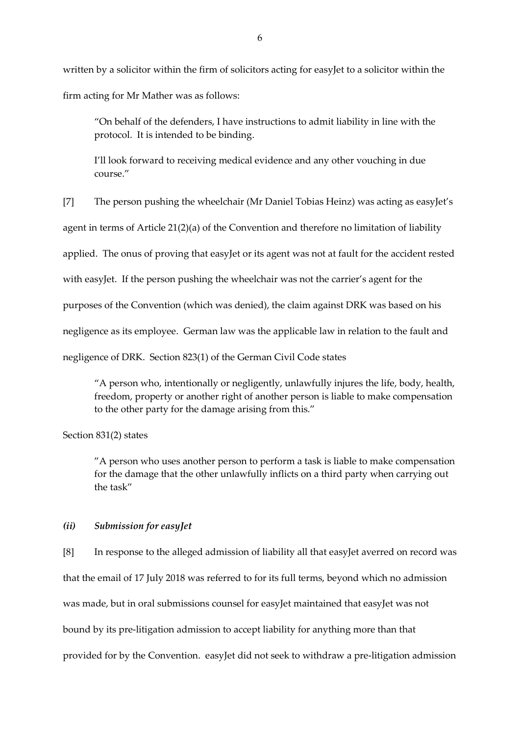written by a solicitor within the firm of solicitors acting for easyJet to a solicitor within the firm acting for Mr Mather was as follows:

"On behalf of the defenders, I have instructions to admit liability in line with the protocol. It is intended to be binding.

I'll look forward to receiving medical evidence and any other vouching in due course."

[7] The person pushing the wheelchair (Mr Daniel Tobias Heinz) was acting as easyJet's

agent in terms of Article 21(2)(a) of the Convention and therefore no limitation of liability

applied. The onus of proving that easyJet or its agent was not at fault for the accident rested

with easyJet. If the person pushing the wheelchair was not the carrier's agent for the

purposes of the Convention (which was denied), the claim against DRK was based on his

negligence as its employee. German law was the applicable law in relation to the fault and

negligence of DRK. Section 823(1) of the German Civil Code states

"A person who, intentionally or negligently, unlawfully injures the life, body, health, freedom, property or another right of another person is liable to make compensation to the other party for the damage arising from this."

Section 831(2) states

"A person who uses another person to perform a task is liable to make compensation for the damage that the other unlawfully inflicts on a third party when carrying out the task"

### *(ii) Submission for easyJet*

[8] In response to the alleged admission of liability all that easyJet averred on record was that the email of 17 July 2018 was referred to for its full terms, beyond which no admission was made, but in oral submissions counsel for easyJet maintained that easyJet was not bound by its pre-litigation admission to accept liability for anything more than that provided for by the Convention. easyJet did not seek to withdraw a pre-litigation admission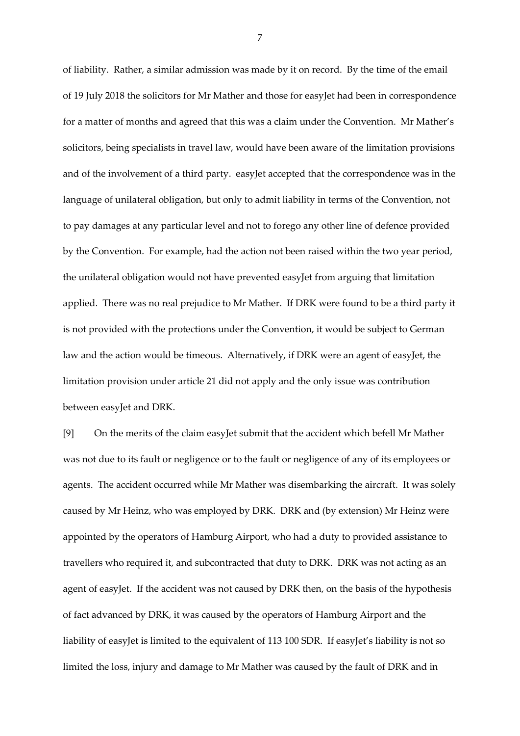of liability. Rather, a similar admission was made by it on record. By the time of the email of 19 July 2018 the solicitors for Mr Mather and those for easyJet had been in correspondence for a matter of months and agreed that this was a claim under the Convention. Mr Mather's solicitors, being specialists in travel law, would have been aware of the limitation provisions and of the involvement of a third party. easyJet accepted that the correspondence was in the language of unilateral obligation, but only to admit liability in terms of the Convention, not to pay damages at any particular level and not to forego any other line of defence provided by the Convention. For example, had the action not been raised within the two year period, the unilateral obligation would not have prevented easyJet from arguing that limitation applied. There was no real prejudice to Mr Mather. If DRK were found to be a third party it is not provided with the protections under the Convention, it would be subject to German law and the action would be timeous. Alternatively, if DRK were an agent of easyJet, the limitation provision under article 21 did not apply and the only issue was contribution between easyJet and DRK.

[9] On the merits of the claim easyJet submit that the accident which befell Mr Mather was not due to its fault or negligence or to the fault or negligence of any of its employees or agents. The accident occurred while Mr Mather was disembarking the aircraft. It was solely caused by Mr Heinz, who was employed by DRK. DRK and (by extension) Mr Heinz were appointed by the operators of Hamburg Airport, who had a duty to provided assistance to travellers who required it, and subcontracted that duty to DRK. DRK was not acting as an agent of easyJet. If the accident was not caused by DRK then, on the basis of the hypothesis of fact advanced by DRK, it was caused by the operators of Hamburg Airport and the liability of easyJet is limited to the equivalent of 113 100 SDR. If easyJet's liability is not so limited the loss, injury and damage to Mr Mather was caused by the fault of DRK and in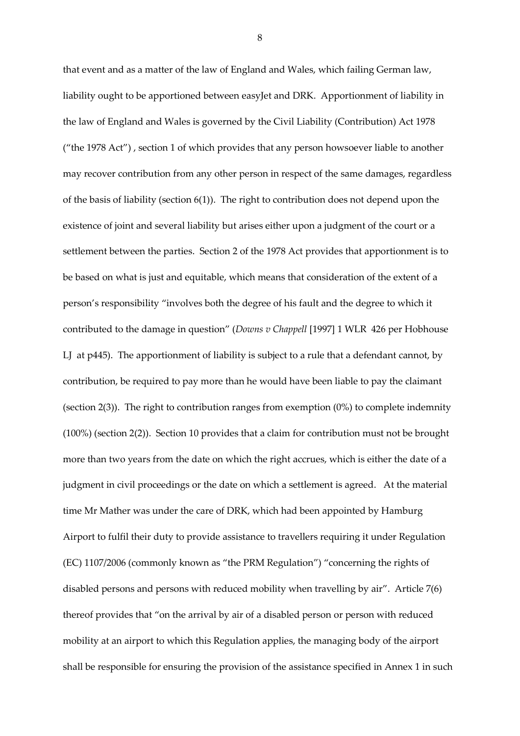that event and as a matter of the law of England and Wales, which failing German law, liability ought to be apportioned between easyJet and DRK. Apportionment of liability in the law of England and Wales is governed by the Civil Liability (Contribution) Act 1978 ("the 1978 Act") , section 1 of which provides that any person howsoever liable to another may recover contribution from any other person in respect of the same damages, regardless of the basis of liability (section 6(1)). The right to contribution does not depend upon the existence of joint and several liability but arises either upon a judgment of the court or a settlement between the parties. Section 2 of the 1978 Act provides that apportionment is to be based on what is just and equitable, which means that consideration of the extent of a person's responsibility "involves both the degree of his fault and the degree to which it contributed to the damage in question" (*Downs v Chappell* [1997] 1 WLR 426 per Hobhouse LJ at p445). The apportionment of liability is subject to a rule that a defendant cannot, by contribution, be required to pay more than he would have been liable to pay the claimant (section 2(3)). The right to contribution ranges from exemption (0%) to complete indemnity (100%) (section 2(2)). Section 10 provides that a claim for contribution must not be brought more than two years from the date on which the right accrues, which is either the date of a judgment in civil proceedings or the date on which a settlement is agreed. At the material time Mr Mather was under the care of DRK, which had been appointed by Hamburg Airport to fulfil their duty to provide assistance to travellers requiring it under Regulation (EC) 1107/2006 (commonly known as "the PRM Regulation") "concerning the rights of disabled persons and persons with reduced mobility when travelling by air". Article 7(6) thereof provides that "on the arrival by air of a disabled person or person with reduced mobility at an airport to which this Regulation applies, the managing body of the airport shall be responsible for ensuring the provision of the assistance specified in Annex 1 in such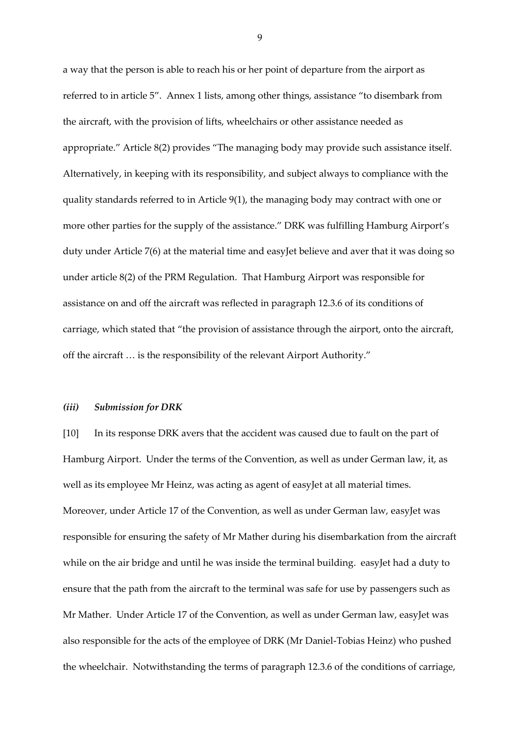a way that the person is able to reach his or her point of departure from the airport as referred to in article 5". Annex 1 lists, among other things, assistance "to disembark from the aircraft, with the provision of lifts, wheelchairs or other assistance needed as appropriate." Article 8(2) provides "The managing body may provide such assistance itself. Alternatively, in keeping with its responsibility, and subject always to compliance with the quality standards referred to in Article 9(1), the managing body may contract with one or more other parties for the supply of the assistance." DRK was fulfilling Hamburg Airport's duty under Article 7(6) at the material time and easyJet believe and aver that it was doing so under article 8(2) of the PRM Regulation. That Hamburg Airport was responsible for assistance on and off the aircraft was reflected in paragraph 12.3.6 of its conditions of carriage, which stated that "the provision of assistance through the airport, onto the aircraft, off the aircraft … is the responsibility of the relevant Airport Authority."

#### *(iii) Submission for DRK*

[10] In its response DRK avers that the accident was caused due to fault on the part of Hamburg Airport. Under the terms of the Convention, as well as under German law, it, as well as its employee Mr Heinz, was acting as agent of easyJet at all material times. Moreover, under Article 17 of the Convention, as well as under German law, easyJet was responsible for ensuring the safety of Mr Mather during his disembarkation from the aircraft while on the air bridge and until he was inside the terminal building. easyJet had a duty to ensure that the path from the aircraft to the terminal was safe for use by passengers such as Mr Mather. Under Article 17 of the Convention, as well as under German law, easyJet was also responsible for the acts of the employee of DRK (Mr Daniel-Tobias Heinz) who pushed the wheelchair. Notwithstanding the terms of paragraph 12.3.6 of the conditions of carriage,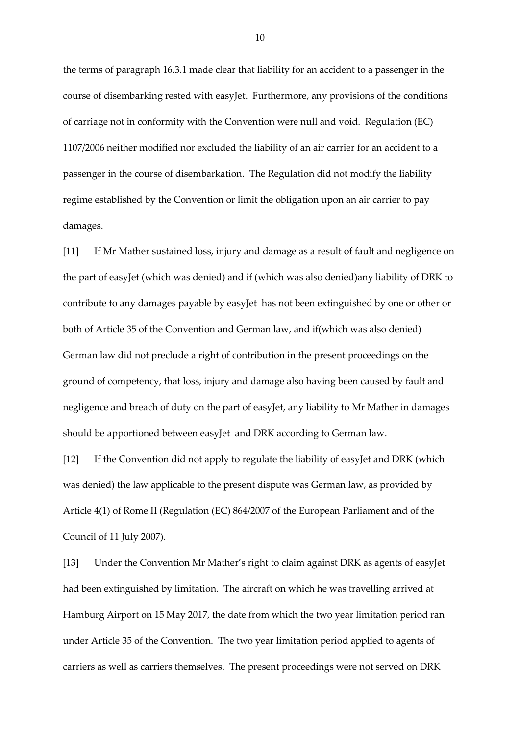the terms of paragraph 16.3.1 made clear that liability for an accident to a passenger in the course of disembarking rested with easyJet. Furthermore, any provisions of the conditions of carriage not in conformity with the Convention were null and void. Regulation (EC) 1107/2006 neither modified nor excluded the liability of an air carrier for an accident to a passenger in the course of disembarkation. The Regulation did not modify the liability regime established by the Convention or limit the obligation upon an air carrier to pay damages.

[11] If Mr Mather sustained loss, injury and damage as a result of fault and negligence on the part of easyJet (which was denied) and if (which was also denied)any liability of DRK to contribute to any damages payable by easyJet has not been extinguished by one or other or both of Article 35 of the Convention and German law, and if(which was also denied) German law did not preclude a right of contribution in the present proceedings on the ground of competency, that loss, injury and damage also having been caused by fault and negligence and breach of duty on the part of easyJet, any liability to Mr Mather in damages should be apportioned between easyJet and DRK according to German law.

[12] If the Convention did not apply to regulate the liability of easyJet and DRK (which was denied) the law applicable to the present dispute was German law, as provided by Article 4(1) of Rome II (Regulation (EC) 864/2007 of the European Parliament and of the Council of 11 July 2007).

[13] Under the Convention Mr Mather's right to claim against DRK as agents of easyJet had been extinguished by limitation. The aircraft on which he was travelling arrived at Hamburg Airport on 15 May 2017, the date from which the two year limitation period ran under Article 35 of the Convention. The two year limitation period applied to agents of carriers as well as carriers themselves. The present proceedings were not served on DRK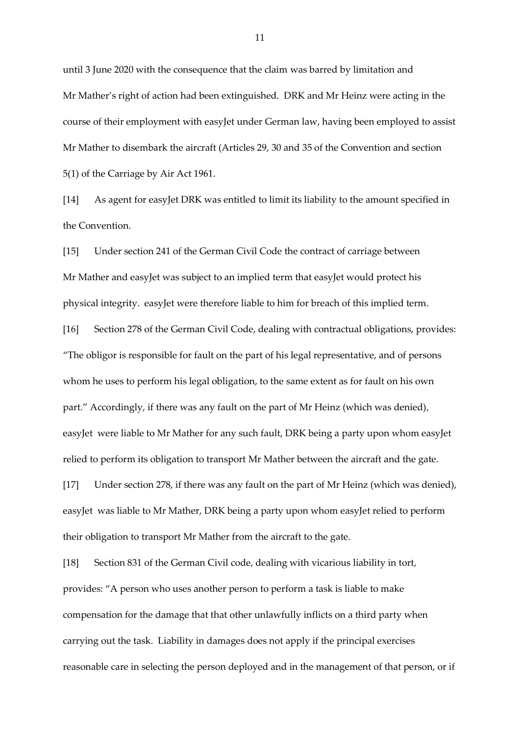until 3 June 2020 with the consequence that the claim was barred by limitation and Mr Mather's right of action had been extinguished. DRK and Mr Heinz were acting in the course of their employment with easyJet under German law, having been employed to assist Mr Mather to disembark the aircraft (Articles 29, 30 and 35 of the Convention and section 5(1) of the Carriage by Air Act 1961.

[14] As agent for easyJet DRK was entitled to limit its liability to the amount specified in the Convention.

[15] Under section 241 of the German Civil Code the contract of carriage between Mr Mather and easyJet was subject to an implied term that easyJet would protect his physical integrity. easyJet were therefore liable to him for breach of this implied term. [16] Section 278 of the German Civil Code, dealing with contractual obligations, provides: "The obligor is responsible for fault on the part of his legal representative, and of persons whom he uses to perform his legal obligation, to the same extent as for fault on his own part." Accordingly, if there was any fault on the part of Mr Heinz (which was denied), easyJet were liable to Mr Mather for any such fault, DRK being a party upon whom easyJet relied to perform its obligation to transport Mr Mather between the aircraft and the gate.

[17] Under section 278, if there was any fault on the part of Mr Heinz (which was denied), easyJet was liable to Mr Mather, DRK being a party upon whom easyJet relied to perform their obligation to transport Mr Mather from the aircraft to the gate.

[18] Section 831 of the German Civil code, dealing with vicarious liability in tort, provides: "A person who uses another person to perform a task is liable to make compensation for the damage that that other unlawfully inflicts on a third party when carrying out the task. Liability in damages does not apply if the principal exercises reasonable care in selecting the person deployed and in the management of that person, or if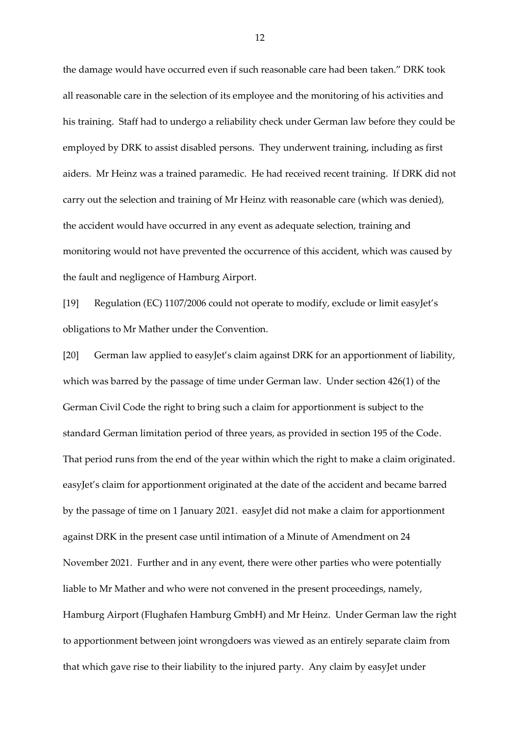the damage would have occurred even if such reasonable care had been taken." DRK took all reasonable care in the selection of its employee and the monitoring of his activities and his training. Staff had to undergo a reliability check under German law before they could be employed by DRK to assist disabled persons. They underwent training, including as first aiders. Mr Heinz was a trained paramedic. He had received recent training. If DRK did not carry out the selection and training of Mr Heinz with reasonable care (which was denied), the accident would have occurred in any event as adequate selection, training and monitoring would not have prevented the occurrence of this accident, which was caused by the fault and negligence of Hamburg Airport.

[19] Regulation (EC) 1107/2006 could not operate to modify, exclude or limit easyJet's obligations to Mr Mather under the Convention.

[20] German law applied to easyJet's claim against DRK for an apportionment of liability, which was barred by the passage of time under German law. Under section 426(1) of the German Civil Code the right to bring such a claim for apportionment is subject to the standard German limitation period of three years, as provided in section 195 of the Code. That period runs from the end of the year within which the right to make a claim originated. easyJet's claim for apportionment originated at the date of the accident and became barred by the passage of time on 1 January 2021. easyJet did not make a claim for apportionment against DRK in the present case until intimation of a Minute of Amendment on 24 November 2021. Further and in any event, there were other parties who were potentially liable to Mr Mather and who were not convened in the present proceedings, namely, Hamburg Airport (Flughafen Hamburg GmbH) and Mr Heinz. Under German law the right to apportionment between joint wrongdoers was viewed as an entirely separate claim from that which gave rise to their liability to the injured party. Any claim by easyJet under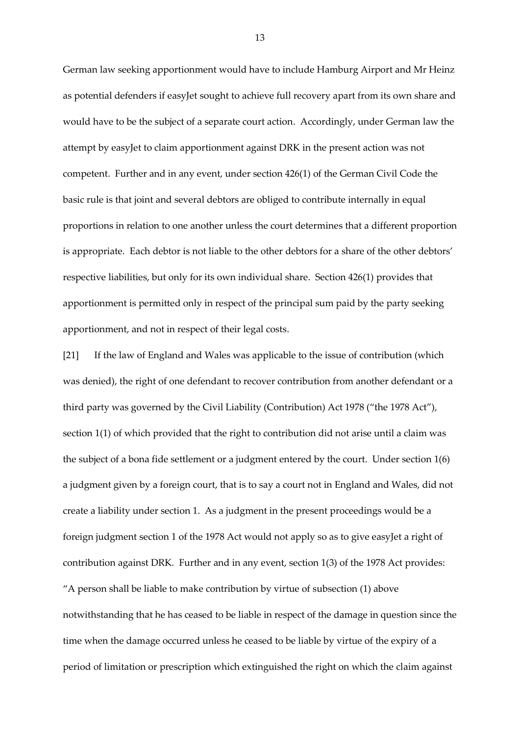German law seeking apportionment would have to include Hamburg Airport and Mr Heinz as potential defenders if easyJet sought to achieve full recovery apart from its own share and would have to be the subject of a separate court action. Accordingly, under German law the attempt by easyJet to claim apportionment against DRK in the present action was not competent. Further and in any event, under section 426(1) of the German Civil Code the basic rule is that joint and several debtors are obliged to contribute internally in equal proportions in relation to one another unless the court determines that a different proportion is appropriate. Each debtor is not liable to the other debtors for a share of the other debtors' respective liabilities, but only for its own individual share. Section 426(1) provides that apportionment is permitted only in respect of the principal sum paid by the party seeking apportionment, and not in respect of their legal costs.

[21] If the law of England and Wales was applicable to the issue of contribution (which was denied), the right of one defendant to recover contribution from another defendant or a third party was governed by the Civil Liability (Contribution) Act 1978 ("the 1978 Act"), section 1(1) of which provided that the right to contribution did not arise until a claim was the subject of a bona fide settlement or a judgment entered by the court. Under section 1(6) a judgment given by a foreign court, that is to say a court not in England and Wales, did not create a liability under section 1. As a judgment in the present proceedings would be a foreign judgment section 1 of the 1978 Act would not apply so as to give easyJet a right of contribution against DRK. Further and in any event, section 1(3) of the 1978 Act provides: "A person shall be liable to make contribution by virtue of subsection (1) above notwithstanding that he has ceased to be liable in respect of the damage in question since the time when the damage occurred unless he ceased to be liable by virtue of the expiry of a period of limitation or prescription which extinguished the right on which the claim against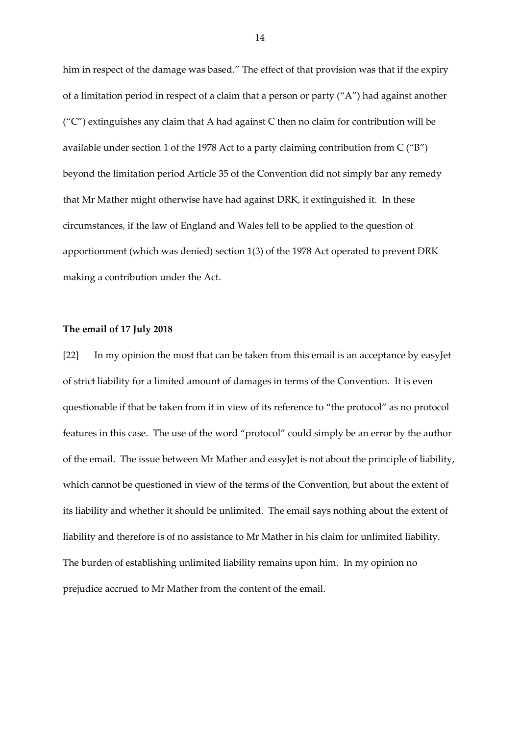him in respect of the damage was based." The effect of that provision was that if the expiry of a limitation period in respect of a claim that a person or party ("A") had against another  $(''C")$  extinguishes any claim that A had against C then no claim for contribution will be available under section 1 of the 1978 Act to a party claiming contribution from C ("B") beyond the limitation period Article 35 of the Convention did not simply bar any remedy that Mr Mather might otherwise have had against DRK, it extinguished it. In these circumstances, if the law of England and Wales fell to be applied to the question of apportionment (which was denied) section 1(3) of the 1978 Act operated to prevent DRK making a contribution under the Act.

### **The email of 17 July 2018**

[22] In my opinion the most that can be taken from this email is an acceptance by easyJet of strict liability for a limited amount of damages in terms of the Convention. It is even questionable if that be taken from it in view of its reference to "the protocol" as no protocol features in this case. The use of the word "protocol" could simply be an error by the author of the email. The issue between Mr Mather and easyJet is not about the principle of liability, which cannot be questioned in view of the terms of the Convention, but about the extent of its liability and whether it should be unlimited. The email says nothing about the extent of liability and therefore is of no assistance to Mr Mather in his claim for unlimited liability. The burden of establishing unlimited liability remains upon him. In my opinion no prejudice accrued to Mr Mather from the content of the email.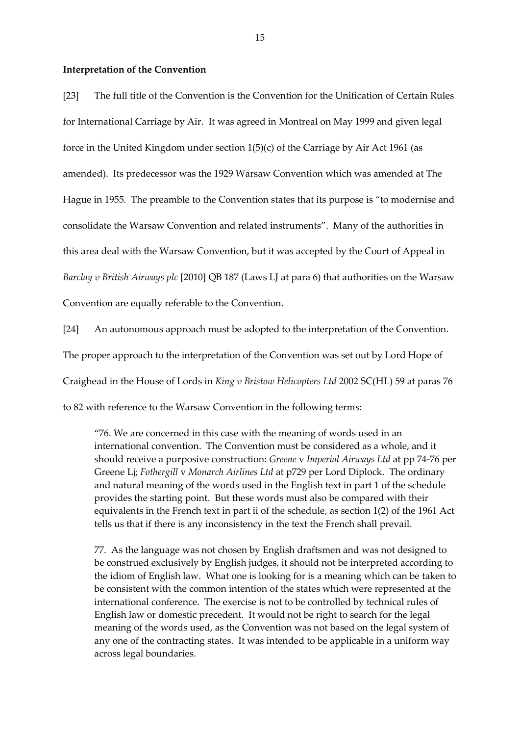#### **Interpretation of the Convention**

[23] The full title of the Convention is the Convention for the Unification of Certain Rules for International Carriage by Air. It was agreed in Montreal on May 1999 and given legal force in the United Kingdom under section 1(5)(c) of the Carriage by Air Act 1961 (as amended). Its predecessor was the 1929 Warsaw Convention which was amended at The Hague in 1955. The preamble to the Convention states that its purpose is "to modernise and consolidate the Warsaw Convention and related instruments". Many of the authorities in this area deal with the Warsaw Convention, but it was accepted by the Court of Appeal in *Barclay v British Airways plc* [2010] QB 187 (Laws LJ at para 6) that authorities on the Warsaw Convention are equally referable to the Convention.

[24] An autonomous approach must be adopted to the interpretation of the Convention.

The proper approach to the interpretation of the Convention was set out by Lord Hope of

Craighead in the House of Lords in *King v Bristow Helicopters Ltd* 2002 SC(HL) 59 at paras 76

to 82 with reference to the Warsaw Convention in the following terms:

"76. We are concerned in this case with the meaning of words used in an international convention. The Convention must be considered as a whole, and it should receive a purposive construction: *Greene* v *Imperial Airways Ltd* at pp 74-76 per Greene Lj; *Fothergill* v *Monarch Airlines Ltd* at p729 per Lord Diplock. The ordinary and natural meaning of the words used in the English text in part 1 of the schedule provides the starting point. But these words must also be compared with their equivalents in the French text in part ii of the schedule, as section 1(2) of the 1961 Act tells us that if there is any inconsistency in the text the French shall prevail.

77. As the language was not chosen by English draftsmen and was not designed to be construed exclusively by English judges, it should not be interpreted according to the idiom of English law. What one is looking for is a meaning which can be taken to be consistent with the common intention of the states which were represented at the international conference. The exercise is not to be controlled by technical rules of English law or domestic precedent. It would not be right to search for the legal meaning of the words used, as the Convention was not based on the legal system of any one of the contracting states. It was intended to be applicable in a uniform way across legal boundaries.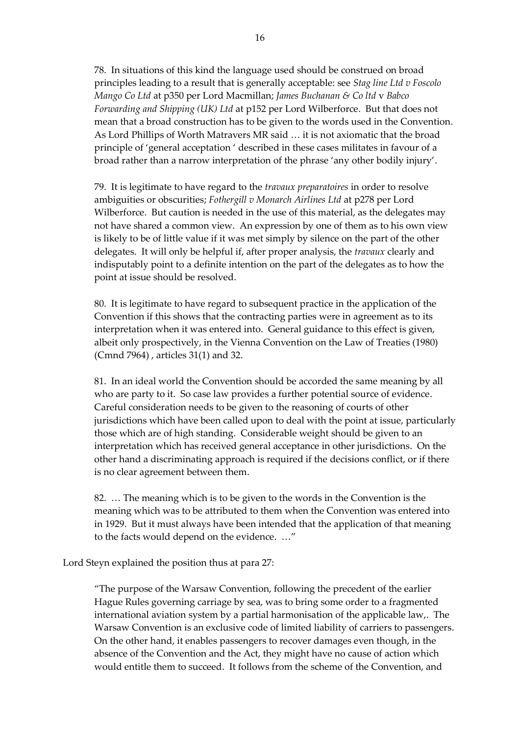78. In situations of this kind the language used should be construed on broad principles leading to a result that is generally acceptable: see *Stag line Ltd v Foscolo Mango Co Ltd* at p350 per Lord Macmillan; *James Buchanan & Co ltd* v *Babco Forwarding and Shipping (UK) Ltd* at p152 per Lord Wilberforce. But that does not mean that a broad construction has to be given to the words used in the Convention. As Lord Phillips of Worth Matravers MR said … it is not axiomatic that the broad principle of 'general acceptation ' described in these cases militates in favour of a broad rather than a narrow interpretation of the phrase 'any other bodily injury'.

79. It is legitimate to have regard to the *travaux preparatoires* in order to resolve ambiguities or obscurities; *Fothergill v Monarch Airlines Ltd* at p278 per Lord Wilberforce. But caution is needed in the use of this material, as the delegates may not have shared a common view. An expression by one of them as to his own view is likely to be of little value if it was met simply by silence on the part of the other delegates. It will only be helpful if, after proper analysis, the *travaux* clearly and indisputably point to a definite intention on the part of the delegates as to how the point at issue should be resolved.

80. It is legitimate to have regard to subsequent practice in the application of the Convention if this shows that the contracting parties were in agreement as to its interpretation when it was entered into. General guidance to this effect is given, albeit only prospectively, in the Vienna Convention on the Law of Treaties (1980) (Cmnd 7964) , articles 31(1) and 32.

81. In an ideal world the Convention should be accorded the same meaning by all who are party to it. So case law provides a further potential source of evidence. Careful consideration needs to be given to the reasoning of courts of other jurisdictions which have been called upon to deal with the point at issue, particularly those which are of high standing. Considerable weight should be given to an interpretation which has received general acceptance in other jurisdictions. On the other hand a discriminating approach is required if the decisions conflict, or if there is no clear agreement between them.

82. … The meaning which is to be given to the words in the Convention is the meaning which was to be attributed to them when the Convention was entered into in 1929. But it must always have been intended that the application of that meaning to the facts would depend on the evidence. …"

Lord Steyn explained the position thus at para 27:

"The purpose of the Warsaw Convention, following the precedent of the earlier Hague Rules governing carriage by sea, was to bring some order to a fragmented international aviation system by a partial harmonisation of the applicable law,. The Warsaw Convention is an exclusive code of limited liability of carriers to passengers. On the other hand, it enables passengers to recover damages even though, in the absence of the Convention and the Act, they might have no cause of action which would entitle them to succeed. It follows from the scheme of the Convention, and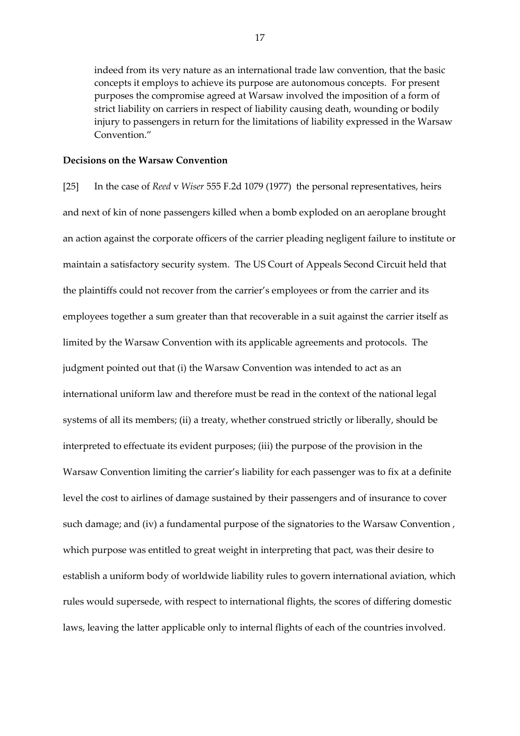indeed from its very nature as an international trade law convention, that the basic concepts it employs to achieve its purpose are autonomous concepts. For present purposes the compromise agreed at Warsaw involved the imposition of a form of strict liability on carriers in respect of liability causing death, wounding or bodily injury to passengers in return for the limitations of liability expressed in the Warsaw Convention."

#### **Decisions on the Warsaw Convention**

[25] In the case of *Reed* v *Wiser* 555 F.2d 1079 (1977) the personal representatives, heirs and next of kin of none passengers killed when a bomb exploded on an aeroplane brought an action against the corporate officers of the carrier pleading negligent failure to institute or maintain a satisfactory security system. The US Court of Appeals Second Circuit held that the plaintiffs could not recover from the carrier's employees or from the carrier and its employees together a sum greater than that recoverable in a suit against the carrier itself as limited by the Warsaw Convention with its applicable agreements and protocols. The judgment pointed out that (i) the Warsaw Convention was intended to act as an international uniform law and therefore must be read in the context of the national legal systems of all its members; (ii) a treaty, whether construed strictly or liberally, should be interpreted to effectuate its evident purposes; (iii) the purpose of the provision in the Warsaw Convention limiting the carrier's liability for each passenger was to fix at a definite level the cost to airlines of damage sustained by their passengers and of insurance to cover such damage; and (iv) a fundamental purpose of the signatories to the Warsaw Convention , which purpose was entitled to great weight in interpreting that pact, was their desire to establish a uniform body of worldwide liability rules to govern international aviation, which rules would supersede, with respect to international flights, the scores of differing domestic laws, leaving the latter applicable only to internal flights of each of the countries involved.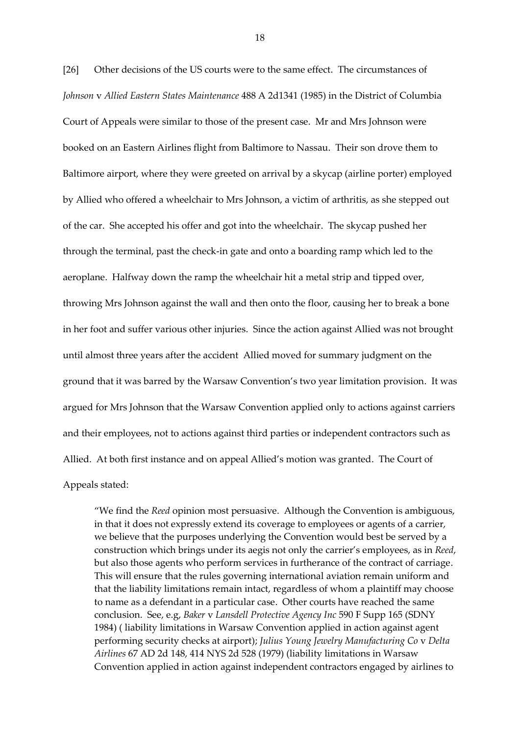[26] Other decisions of the US courts were to the same effect. The circumstances of *Johnson* v *Allied Eastern States Maintenance* 488 A 2d1341 (1985) in the District of Columbia Court of Appeals were similar to those of the present case. Mr and Mrs Johnson were booked on an Eastern Airlines flight from Baltimore to Nassau. Their son drove them to Baltimore airport, where they were greeted on arrival by a skycap (airline porter) employed by Allied who offered a wheelchair to Mrs Johnson, a victim of arthritis, as she stepped out of the car. She accepted his offer and got into the wheelchair. The skycap pushed her through the terminal, past the check-in gate and onto a boarding ramp which led to the aeroplane. Halfway down the ramp the wheelchair hit a metal strip and tipped over, throwing Mrs Johnson against the wall and then onto the floor, causing her to break a bone in her foot and suffer various other injuries. Since the action against Allied was not brought until almost three years after the accident Allied moved for summary judgment on the ground that it was barred by the Warsaw Convention's two year limitation provision. It was argued for Mrs Johnson that the Warsaw Convention applied only to actions against carriers and their employees, not to actions against third parties or independent contractors such as Allied. At both first instance and on appeal Allied's motion was granted. The Court of Appeals stated:

"We find the *Reed* opinion most persuasive. Although the Convention is ambiguous, in that it does not expressly extend its coverage to employees or agents of a carrier, we believe that the purposes underlying the Convention would best be served by a construction which brings under its aegis not only the carrier's employees, as in *Reed*, but also those agents who perform services in furtherance of the contract of carriage. This will ensure that the rules governing international aviation remain uniform and that the liability limitations remain intact, regardless of whom a plaintiff may choose to name as a defendant in a particular case. Other courts have reached the same conclusion. See, e.g, *Baker* v *Lansdell Protective Agency Inc* 590 F Supp 165 (SDNY 1984) ( liability limitations in Warsaw Convention applied in action against agent performing security checks at airport); *Julius Young Jewelry Manufacturing Co* v *Delta Airlines* 67 AD 2d 148, 414 NYS 2d 528 (1979) (liability limitations in Warsaw Convention applied in action against independent contractors engaged by airlines to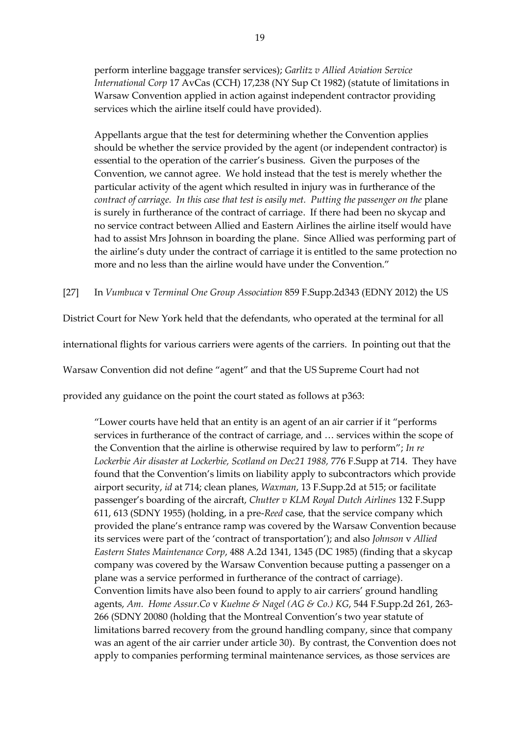perform interline baggage transfer services); *Garlitz v Allied Aviation Service International Corp* 17 AvCas (CCH) 17,238 (NY Sup Ct 1982) (statute of limitations in Warsaw Convention applied in action against independent contractor providing services which the airline itself could have provided).

Appellants argue that the test for determining whether the Convention applies should be whether the service provided by the agent (or independent contractor) is essential to the operation of the carrier's business. Given the purposes of the Convention, we cannot agree. We hold instead that the test is merely whether the particular activity of the agent which resulted in injury was in furtherance of the *contract of carriage. In this case that test is easily met. Putting the passenger on the* plane is surely in furtherance of the contract of carriage. If there had been no skycap and no service contract between Allied and Eastern Airlines the airline itself would have had to assist Mrs Johnson in boarding the plane. Since Allied was performing part of the airline's duty under the contract of carriage it is entitled to the same protection no more and no less than the airline would have under the Convention."

[27] In *Vumbuca* v *Terminal One Group Association* 859 F.Supp.2d343 (EDNY 2012) the US

District Court for New York held that the defendants, who operated at the terminal for all

international flights for various carriers were agents of the carriers. In pointing out that the

Warsaw Convention did not define "agent" and that the US Supreme Court had not

provided any guidance on the point the court stated as follows at p363:

"Lower courts have held that an entity is an agent of an air carrier if it "performs services in furtherance of the contract of carriage, and … services within the scope of the Convention that the airline is otherwise required by law to perform"; *In re*  Lockerbie Air disaster at Lockerbie, Scotland on Dec21 1988, 776 F. Supp at 714. They have found that the Convention's limits on liability apply to subcontractors which provide airport security, *id* at 714; clean planes, *Waxman*, 13 F.Supp.2d at 515; or facilitate passenger's boarding of the aircraft, *Chutter v KLM Royal Dutch Airlines* 132 F.Supp 611, 613 (SDNY 1955) (holding, in a pre-*Reed* case, that the service company which provided the plane's entrance ramp was covered by the Warsaw Convention because its services were part of the 'contract of transportation'); and also *Johnson* v *Allied Eastern States Maintenance Corp*, 488 A.2d 1341, 1345 (DC 1985) (finding that a skycap company was covered by the Warsaw Convention because putting a passenger on a plane was a service performed in furtherance of the contract of carriage). Convention limits have also been found to apply to air carriers' ground handling agents, *Am. Home Assur.Co* v *Kuehne & Nagel (AG & Co.) KG*, 544 F.Supp.2d 261, 263- 266 (SDNY 20080 (holding that the Montreal Convention's two year statute of limitations barred recovery from the ground handling company, since that company was an agent of the air carrier under article 30). By contrast, the Convention does not apply to companies performing terminal maintenance services, as those services are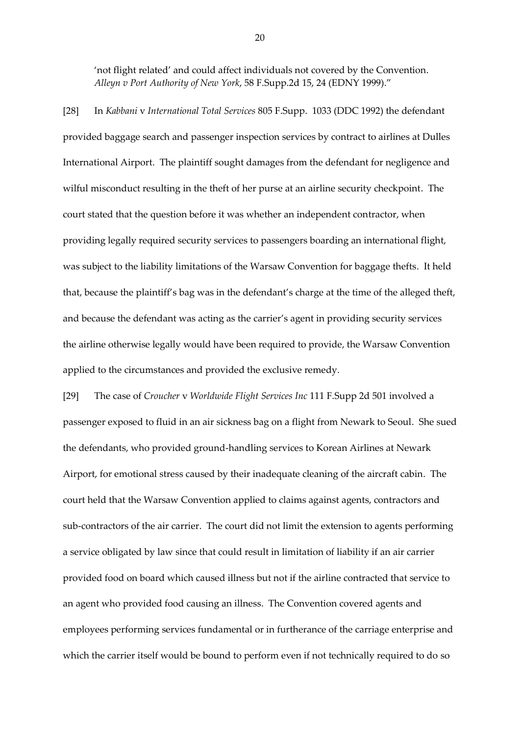'not flight related' and could affect individuals not covered by the Convention. *Alleyn v Port Authority of New York*, 58 F.Supp.2d 15, 24 (EDNY 1999)."

[28] In *Kabbani* v *International Total Services* 805 F.Supp. 1033 (DDC 1992) the defendant provided baggage search and passenger inspection services by contract to airlines at Dulles International Airport. The plaintiff sought damages from the defendant for negligence and wilful misconduct resulting in the theft of her purse at an airline security checkpoint. The court stated that the question before it was whether an independent contractor, when providing legally required security services to passengers boarding an international flight, was subject to the liability limitations of the Warsaw Convention for baggage thefts. It held that, because the plaintiff's bag was in the defendant's charge at the time of the alleged theft, and because the defendant was acting as the carrier's agent in providing security services the airline otherwise legally would have been required to provide, the Warsaw Convention applied to the circumstances and provided the exclusive remedy.

[29] The case of *Croucher* v *Worldwide Flight Services Inc* 111 F.Supp 2d 501 involved a passenger exposed to fluid in an air sickness bag on a flight from Newark to Seoul. She sued the defendants, who provided ground-handling services to Korean Airlines at Newark Airport, for emotional stress caused by their inadequate cleaning of the aircraft cabin. The court held that the Warsaw Convention applied to claims against agents, contractors and sub-contractors of the air carrier. The court did not limit the extension to agents performing a service obligated by law since that could result in limitation of liability if an air carrier provided food on board which caused illness but not if the airline contracted that service to an agent who provided food causing an illness. The Convention covered agents and employees performing services fundamental or in furtherance of the carriage enterprise and which the carrier itself would be bound to perform even if not technically required to do so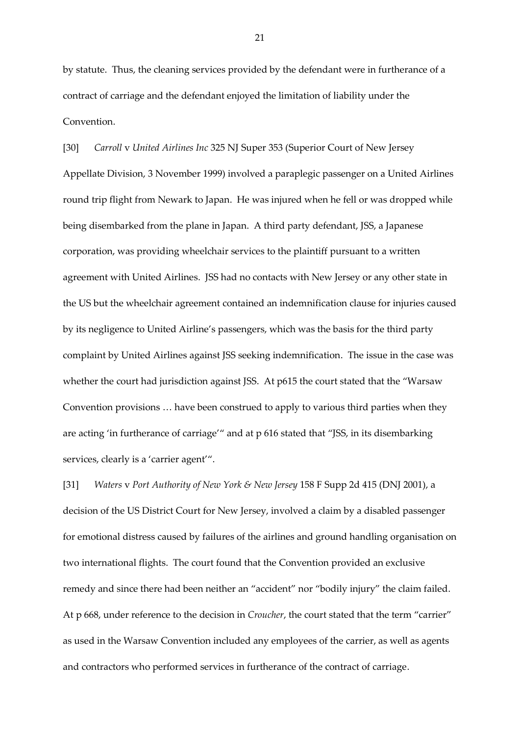by statute. Thus, the cleaning services provided by the defendant were in furtherance of a contract of carriage and the defendant enjoyed the limitation of liability under the Convention.

[30] *Carroll* v *United Airlines Inc* 325 NJ Super 353 (Superior Court of New Jersey Appellate Division, 3 November 1999) involved a paraplegic passenger on a United Airlines round trip flight from Newark to Japan. He was injured when he fell or was dropped while being disembarked from the plane in Japan. A third party defendant, JSS, a Japanese corporation, was providing wheelchair services to the plaintiff pursuant to a written agreement with United Airlines. JSS had no contacts with New Jersey or any other state in the US but the wheelchair agreement contained an indemnification clause for injuries caused by its negligence to United Airline's passengers, which was the basis for the third party complaint by United Airlines against JSS seeking indemnification. The issue in the case was whether the court had jurisdiction against JSS. At p615 the court stated that the "Warsaw Convention provisions … have been construed to apply to various third parties when they are acting 'in furtherance of carriage'" and at p 616 stated that "JSS, in its disembarking services, clearly is a 'carrier agent'".

[31] *Waters* v *Port Authority of New York & New Jersey* 158 F Supp 2d 415 (DNJ 2001), a decision of the US District Court for New Jersey, involved a claim by a disabled passenger for emotional distress caused by failures of the airlines and ground handling organisation on two international flights. The court found that the Convention provided an exclusive remedy and since there had been neither an "accident" nor "bodily injury" the claim failed. At p 668, under reference to the decision in *Croucher*, the court stated that the term "carrier" as used in the Warsaw Convention included any employees of the carrier, as well as agents and contractors who performed services in furtherance of the contract of carriage.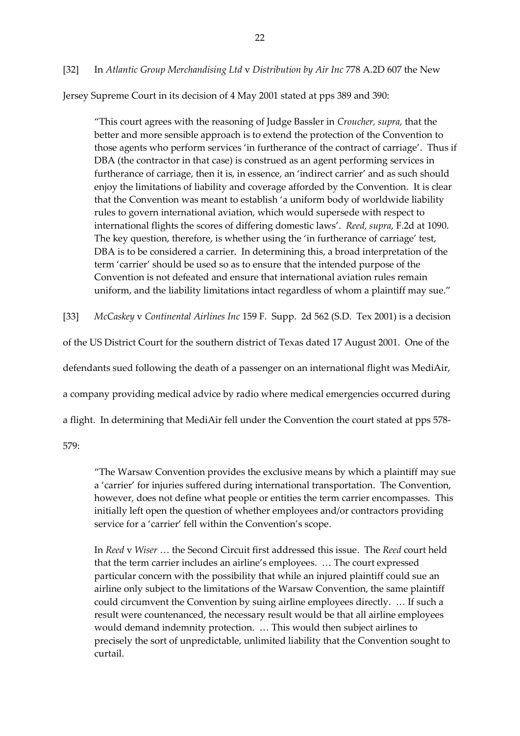[32] In *Atlantic Group Merchandising Ltd* v *Distribution by Air Inc* 778 A.2D 607 the New

Jersey Supreme Court in its decision of 4 May 2001 stated at pps 389 and 390:

"This court agrees with the reasoning of Judge Bassler in *Croucher, supra,* that the better and more sensible approach is to extend the protection of the Convention to those agents who perform services 'in furtherance of the contract of carriage'. Thus if DBA (the contractor in that case) is construed as an agent performing services in furtherance of carriage, then it is, in essence, an 'indirect carrier' and as such should enjoy the limitations of liability and coverage afforded by the Convention. It is clear that the Convention was meant to establish 'a uniform body of worldwide liability rules to govern international aviation, which would supersede with respect to international flights the scores of differing domestic laws'. *Reed, supra*, F.2d at 1090. The key question, therefore, is whether using the 'in furtherance of carriage' test, DBA is to be considered a carrier. In determining this, a broad interpretation of the term 'carrier' should be used so as to ensure that the intended purpose of the Convention is not defeated and ensure that international aviation rules remain uniform, and the liability limitations intact regardless of whom a plaintiff may sue."

[33] *McCaskey* v *Continental Airlines Inc* 159 F. Supp. 2d 562 (S.D. Tex 2001) is a decision

of the US District Court for the southern district of Texas dated 17 August 2001. One of the

defendants sued following the death of a passenger on an international flight was MediAir,

a company providing medical advice by radio where medical emergencies occurred during

a flight. In determining that MediAir fell under the Convention the court stated at pps 578-

579:

"The Warsaw Convention provides the exclusive means by which a plaintiff may sue a 'carrier' for injuries suffered during international transportation. The Convention, however, does not define what people or entities the term carrier encompasses. This initially left open the question of whether employees and/or contractors providing service for a 'carrier' fell within the Convention's scope.

In *Reed* v *Wiser* … the Second Circuit first addressed this issue. The *Reed* court held that the term carrier includes an airline's employees. … The court expressed particular concern with the possibility that while an injured plaintiff could sue an airline only subject to the limitations of the Warsaw Convention, the same plaintiff could circumvent the Convention by suing airline employees directly. … If such a result were countenanced, the necessary result would be that all airline employees would demand indemnity protection. … This would then subject airlines to precisely the sort of unpredictable, unlimited liability that the Convention sought to curtail.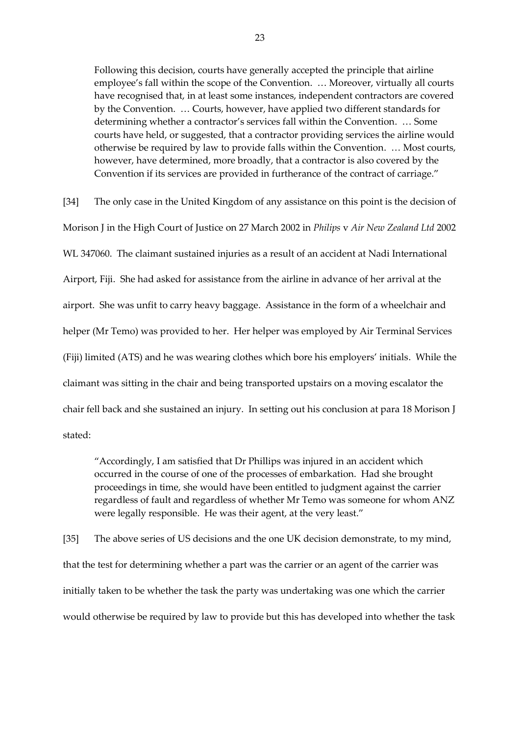Following this decision, courts have generally accepted the principle that airline employee's fall within the scope of the Convention. … Moreover, virtually all courts have recognised that, in at least some instances, independent contractors are covered by the Convention. … Courts, however, have applied two different standards for determining whether a contractor's services fall within the Convention. … Some courts have held, or suggested, that a contractor providing services the airline would otherwise be required by law to provide falls within the Convention. … Most courts, however, have determined, more broadly, that a contractor is also covered by the Convention if its services are provided in furtherance of the contract of carriage."

[34] The only case in the United Kingdom of any assistance on this point is the decision of Morison J in the High Court of Justice on 27 March 2002 in *Philips* v *Air New Zealand Ltd* 2002 WL 347060. The claimant sustained injuries as a result of an accident at Nadi International Airport, Fiji. She had asked for assistance from the airline in advance of her arrival at the airport. She was unfit to carry heavy baggage. Assistance in the form of a wheelchair and helper (Mr Temo) was provided to her. Her helper was employed by Air Terminal Services (Fiji) limited (ATS) and he was wearing clothes which bore his employers' initials. While the claimant was sitting in the chair and being transported upstairs on a moving escalator the chair fell back and she sustained an injury. In setting out his conclusion at para 18 Morison J stated:

"Accordingly, I am satisfied that Dr Phillips was injured in an accident which occurred in the course of one of the processes of embarkation. Had she brought proceedings in time, she would have been entitled to judgment against the carrier regardless of fault and regardless of whether Mr Temo was someone for whom ANZ were legally responsible. He was their agent, at the very least."

[35] The above series of US decisions and the one UK decision demonstrate, to my mind, that the test for determining whether a part was the carrier or an agent of the carrier was initially taken to be whether the task the party was undertaking was one which the carrier would otherwise be required by law to provide but this has developed into whether the task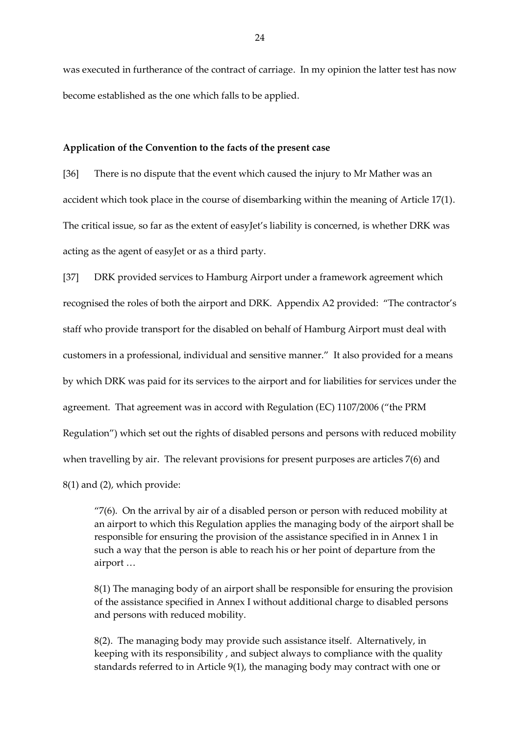was executed in furtherance of the contract of carriage. In my opinion the latter test has now become established as the one which falls to be applied.

#### **Application of the Convention to the facts of the present case**

[36] There is no dispute that the event which caused the injury to Mr Mather was an accident which took place in the course of disembarking within the meaning of Article 17(1). The critical issue, so far as the extent of easyJet's liability is concerned, is whether DRK was acting as the agent of easyJet or as a third party.

[37] DRK provided services to Hamburg Airport under a framework agreement which recognised the roles of both the airport and DRK. Appendix A2 provided: "The contractor's staff who provide transport for the disabled on behalf of Hamburg Airport must deal with customers in a professional, individual and sensitive manner." It also provided for a means by which DRK was paid for its services to the airport and for liabilities for services under the agreement. That agreement was in accord with Regulation (EC) 1107/2006 ("the PRM Regulation") which set out the rights of disabled persons and persons with reduced mobility when travelling by air. The relevant provisions for present purposes are articles 7(6) and 8(1) and (2), which provide:

"7(6). On the arrival by air of a disabled person or person with reduced mobility at an airport to which this Regulation applies the managing body of the airport shall be responsible for ensuring the provision of the assistance specified in in Annex 1 in such a way that the person is able to reach his or her point of departure from the airport …

8(1) The managing body of an airport shall be responsible for ensuring the provision of the assistance specified in Annex I without additional charge to disabled persons and persons with reduced mobility.

8(2). The managing body may provide such assistance itself. Alternatively, in keeping with its responsibility , and subject always to compliance with the quality standards referred to in Article 9(1), the managing body may contract with one or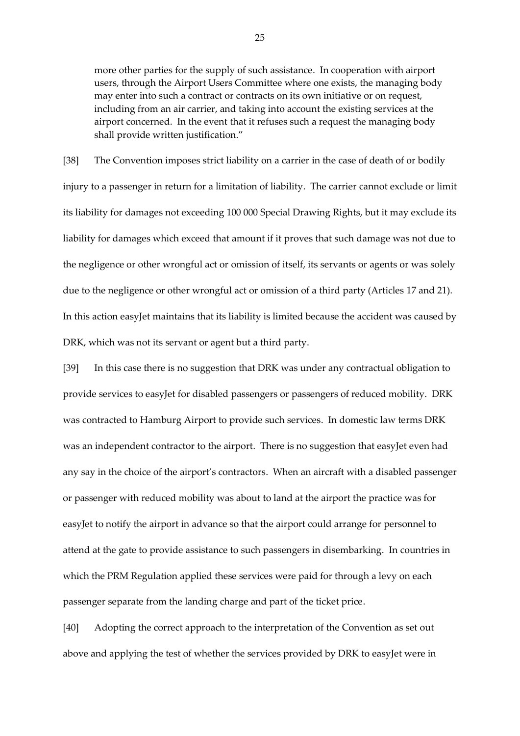more other parties for the supply of such assistance. In cooperation with airport users, through the Airport Users Committee where one exists, the managing body may enter into such a contract or contracts on its own initiative or on request, including from an air carrier, and taking into account the existing services at the airport concerned. In the event that it refuses such a request the managing body shall provide written justification."

[38] The Convention imposes strict liability on a carrier in the case of death of or bodily injury to a passenger in return for a limitation of liability. The carrier cannot exclude or limit its liability for damages not exceeding 100 000 Special Drawing Rights, but it may exclude its liability for damages which exceed that amount if it proves that such damage was not due to the negligence or other wrongful act or omission of itself, its servants or agents or was solely due to the negligence or other wrongful act or omission of a third party (Articles 17 and 21). In this action easyJet maintains that its liability is limited because the accident was caused by DRK, which was not its servant or agent but a third party.

[39] In this case there is no suggestion that DRK was under any contractual obligation to provide services to easyJet for disabled passengers or passengers of reduced mobility. DRK was contracted to Hamburg Airport to provide such services. In domestic law terms DRK was an independent contractor to the airport. There is no suggestion that easyJet even had any say in the choice of the airport's contractors. When an aircraft with a disabled passenger or passenger with reduced mobility was about to land at the airport the practice was for easyJet to notify the airport in advance so that the airport could arrange for personnel to attend at the gate to provide assistance to such passengers in disembarking. In countries in which the PRM Regulation applied these services were paid for through a levy on each passenger separate from the landing charge and part of the ticket price.

[40] Adopting the correct approach to the interpretation of the Convention as set out above and applying the test of whether the services provided by DRK to easyJet were in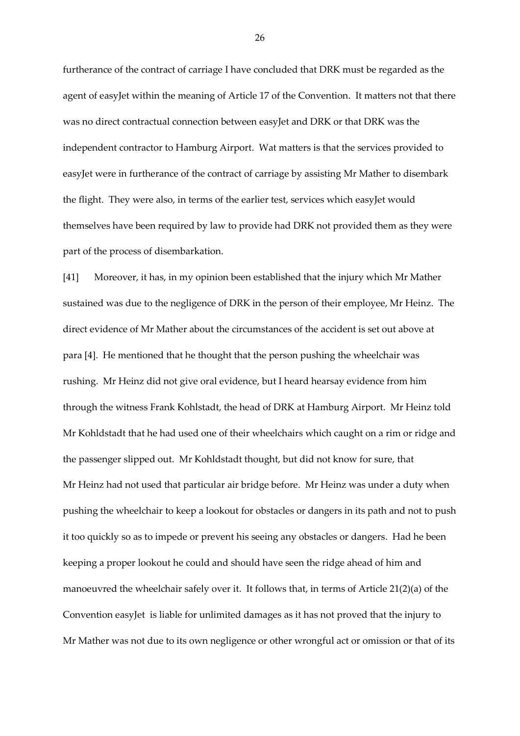furtherance of the contract of carriage I have concluded that DRK must be regarded as the agent of easyJet within the meaning of Article 17 of the Convention. It matters not that there was no direct contractual connection between easyJet and DRK or that DRK was the independent contractor to Hamburg Airport. Wat matters is that the services provided to easyJet were in furtherance of the contract of carriage by assisting Mr Mather to disembark the flight. They were also, in terms of the earlier test, services which easyJet would themselves have been required by law to provide had DRK not provided them as they were part of the process of disembarkation.

[41] Moreover, it has, in my opinion been established that the injury which Mr Mather sustained was due to the negligence of DRK in the person of their employee, Mr Heinz. The direct evidence of Mr Mather about the circumstances of the accident is set out above at para [4]. He mentioned that he thought that the person pushing the wheelchair was rushing. Mr Heinz did not give oral evidence, but I heard hearsay evidence from him through the witness Frank Kohlstadt, the head of DRK at Hamburg Airport. Mr Heinz told Mr Kohldstadt that he had used one of their wheelchairs which caught on a rim or ridge and the passenger slipped out. Mr Kohldstadt thought, but did not know for sure, that Mr Heinz had not used that particular air bridge before. Mr Heinz was under a duty when pushing the wheelchair to keep a lookout for obstacles or dangers in its path and not to push it too quickly so as to impede or prevent his seeing any obstacles or dangers. Had he been keeping a proper lookout he could and should have seen the ridge ahead of him and manoeuvred the wheelchair safely over it. It follows that, in terms of Article 21(2)(a) of the Convention easyJet is liable for unlimited damages as it has not proved that the injury to Mr Mather was not due to its own negligence or other wrongful act or omission or that of its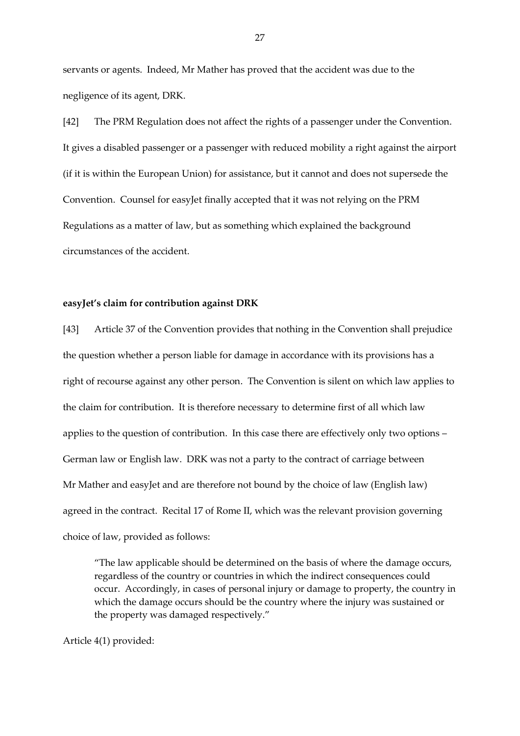servants or agents. Indeed, Mr Mather has proved that the accident was due to the negligence of its agent, DRK.

[42] The PRM Regulation does not affect the rights of a passenger under the Convention. It gives a disabled passenger or a passenger with reduced mobility a right against the airport (if it is within the European Union) for assistance, but it cannot and does not supersede the Convention. Counsel for easyJet finally accepted that it was not relying on the PRM Regulations as a matter of law, but as something which explained the background circumstances of the accident.

#### **easyJet's claim for contribution against DRK**

[43] Article 37 of the Convention provides that nothing in the Convention shall prejudice the question whether a person liable for damage in accordance with its provisions has a right of recourse against any other person. The Convention is silent on which law applies to the claim for contribution. It is therefore necessary to determine first of all which law applies to the question of contribution. In this case there are effectively only two options – German law or English law. DRK was not a party to the contract of carriage between Mr Mather and easyJet and are therefore not bound by the choice of law (English law) agreed in the contract. Recital 17 of Rome II, which was the relevant provision governing choice of law, provided as follows:

"The law applicable should be determined on the basis of where the damage occurs, regardless of the country or countries in which the indirect consequences could occur. Accordingly, in cases of personal injury or damage to property, the country in which the damage occurs should be the country where the injury was sustained or the property was damaged respectively."

Article 4(1) provided: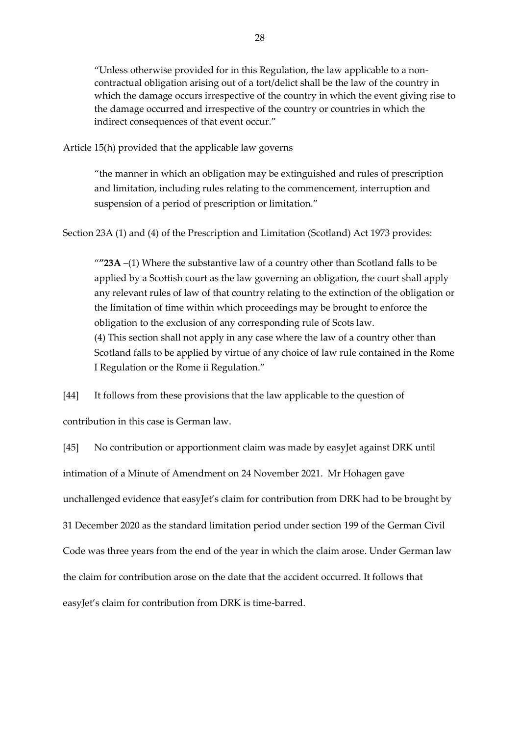"Unless otherwise provided for in this Regulation, the law applicable to a noncontractual obligation arising out of a tort/delict shall be the law of the country in which the damage occurs irrespective of the country in which the event giving rise to the damage occurred and irrespective of the country or countries in which the indirect consequences of that event occur."

Article 15(h) provided that the applicable law governs

"the manner in which an obligation may be extinguished and rules of prescription and limitation, including rules relating to the commencement, interruption and suspension of a period of prescription or limitation."

Section 23A (1) and (4) of the Prescription and Limitation (Scotland) Act 1973 provides:

"**"23A** –(1) Where the substantive law of a country other than Scotland falls to be applied by a Scottish court as the law governing an obligation, the court shall apply any relevant rules of law of that country relating to the extinction of the obligation or the limitation of time within which proceedings may be brought to enforce the obligation to the exclusion of any corresponding rule of Scots law. (4) This section shall not apply in any case where the law of a country other than Scotland falls to be applied by virtue of any choice of law rule contained in the Rome I Regulation or the Rome ii Regulation."

[44] It follows from these provisions that the law applicable to the question of

contribution in this case is German law.

[45] No contribution or apportionment claim was made by easyJet against DRK until intimation of a Minute of Amendment on 24 November 2021. Mr Hohagen gave unchallenged evidence that easyJet's claim for contribution from DRK had to be brought by 31 December 2020 as the standard limitation period under section 199 of the German Civil Code was three years from the end of the year in which the claim arose. Under German law the claim for contribution arose on the date that the accident occurred. It follows that easyJet's claim for contribution from DRK is time-barred.